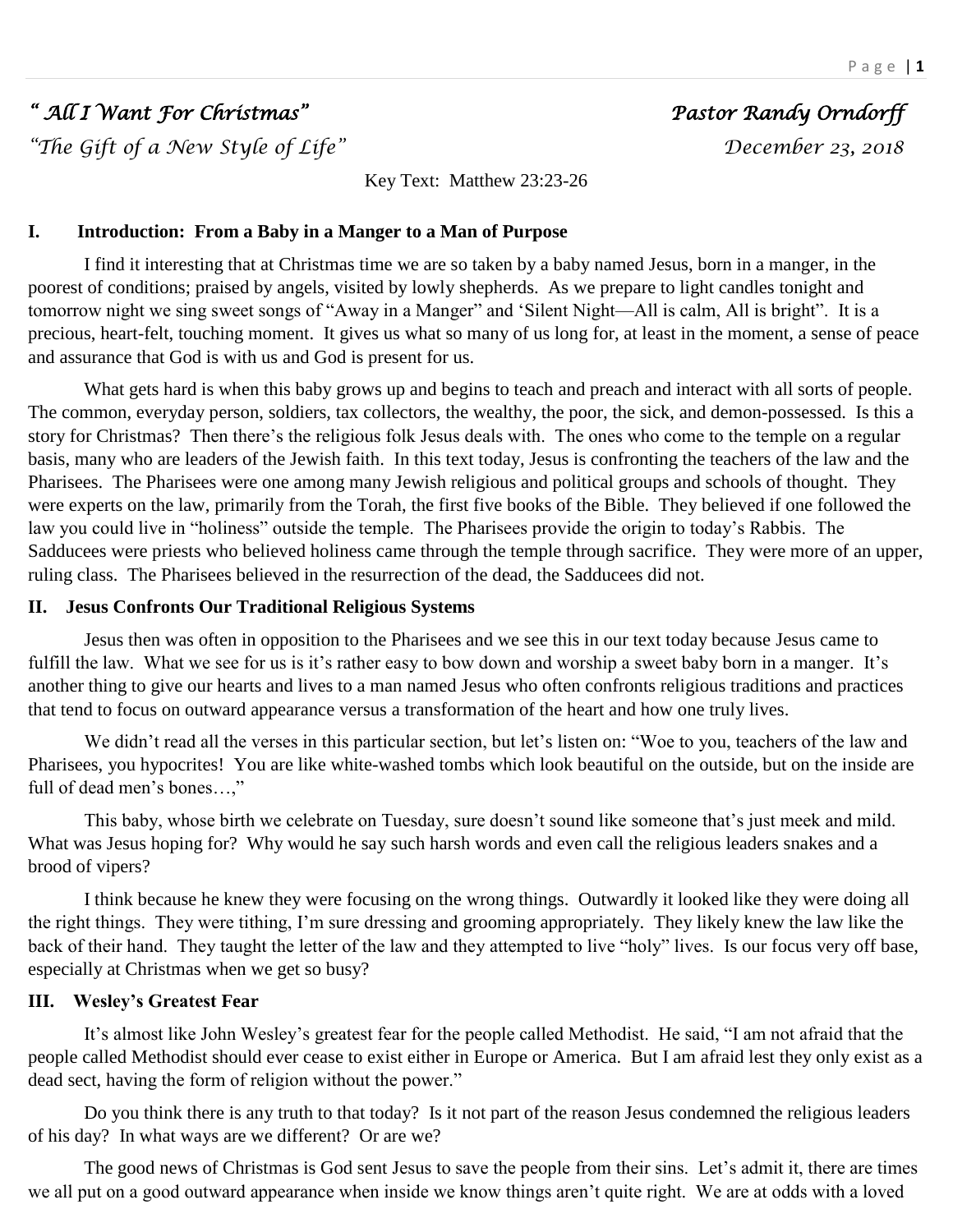# *" All I Want For Christmas" Pastor Randy Orndorff*

*"The Gift of a New Style of Life" December 23, 2018* 

Key Text: Matthew 23:23-26

## **I. Introduction: From a Baby in a Manger to a Man of Purpose**

I find it interesting that at Christmas time we are so taken by a baby named Jesus, born in a manger, in the poorest of conditions; praised by angels, visited by lowly shepherds. As we prepare to light candles tonight and tomorrow night we sing sweet songs of "Away in a Manger" and 'Silent Night—All is calm, All is bright". It is a precious, heart-felt, touching moment. It gives us what so many of us long for, at least in the moment, a sense of peace and assurance that God is with us and God is present for us.

What gets hard is when this baby grows up and begins to teach and preach and interact with all sorts of people. The common, everyday person, soldiers, tax collectors, the wealthy, the poor, the sick, and demon-possessed. Is this a story for Christmas? Then there's the religious folk Jesus deals with. The ones who come to the temple on a regular basis, many who are leaders of the Jewish faith. In this text today, Jesus is confronting the teachers of the law and the Pharisees. The Pharisees were one among many Jewish religious and political groups and schools of thought. They were experts on the law, primarily from the Torah, the first five books of the Bible. They believed if one followed the law you could live in "holiness" outside the temple. The Pharisees provide the origin to today's Rabbis. The Sadducees were priests who believed holiness came through the temple through sacrifice. They were more of an upper, ruling class. The Pharisees believed in the resurrection of the dead, the Sadducees did not.

## **II. Jesus Confronts Our Traditional Religious Systems**

Jesus then was often in opposition to the Pharisees and we see this in our text today because Jesus came to fulfill the law. What we see for us is it's rather easy to bow down and worship a sweet baby born in a manger. It's another thing to give our hearts and lives to a man named Jesus who often confronts religious traditions and practices that tend to focus on outward appearance versus a transformation of the heart and how one truly lives.

We didn't read all the verses in this particular section, but let's listen on: "Woe to you, teachers of the law and Pharisees, you hypocrites! You are like white-washed tombs which look beautiful on the outside, but on the inside are full of dead men's bones…,"

This baby, whose birth we celebrate on Tuesday, sure doesn't sound like someone that's just meek and mild. What was Jesus hoping for? Why would he say such harsh words and even call the religious leaders snakes and a brood of vipers?

I think because he knew they were focusing on the wrong things. Outwardly it looked like they were doing all the right things. They were tithing, I'm sure dressing and grooming appropriately. They likely knew the law like the back of their hand. They taught the letter of the law and they attempted to live "holy" lives. Is our focus very off base, especially at Christmas when we get so busy?

## **III. Wesley's Greatest Fear**

It's almost like John Wesley's greatest fear for the people called Methodist. He said, "I am not afraid that the people called Methodist should ever cease to exist either in Europe or America. But I am afraid lest they only exist as a dead sect, having the form of religion without the power."

Do you think there is any truth to that today? Is it not part of the reason Jesus condemned the religious leaders of his day? In what ways are we different? Or are we?

The good news of Christmas is God sent Jesus to save the people from their sins. Let's admit it, there are times we all put on a good outward appearance when inside we know things aren't quite right. We are at odds with a loved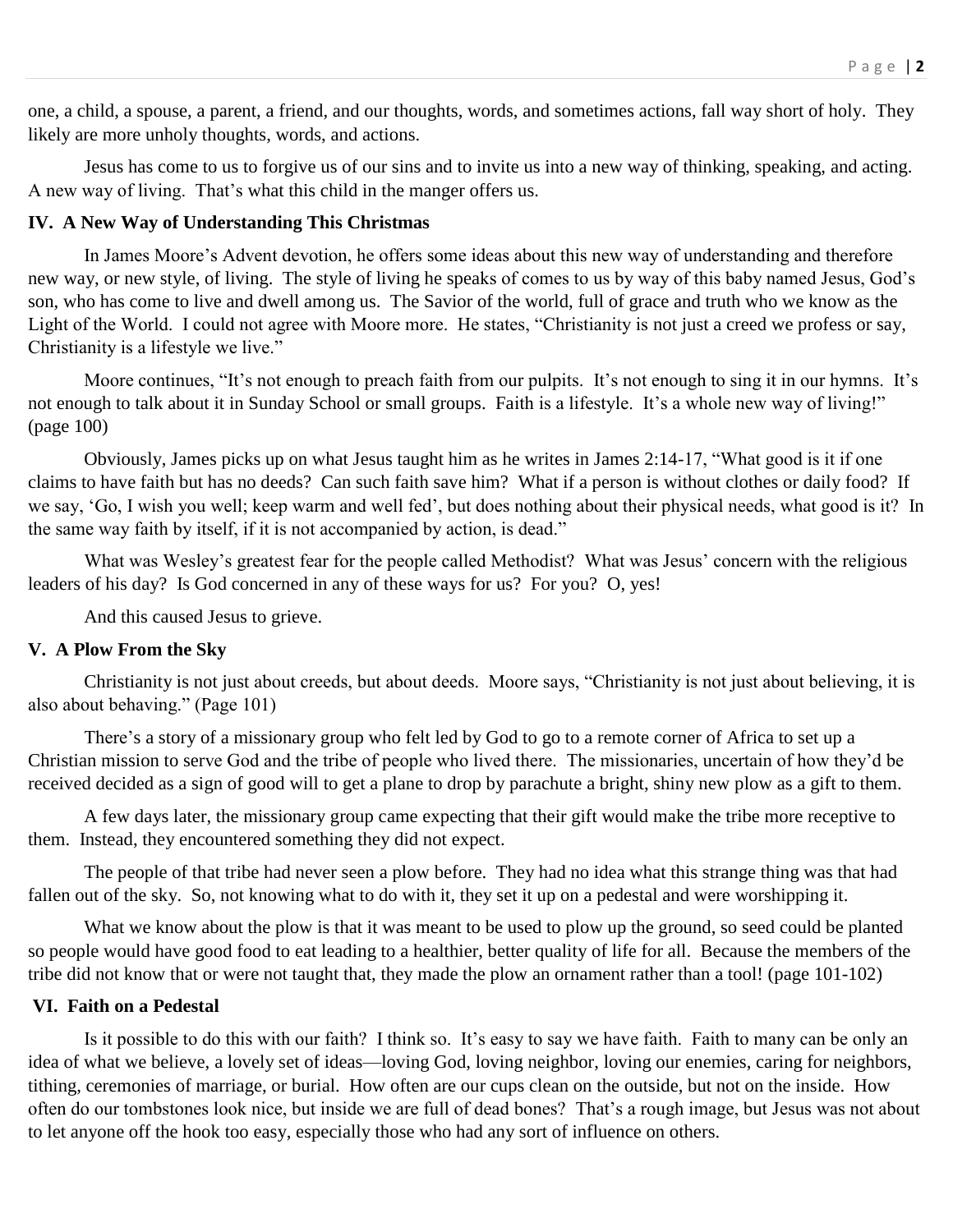one, a child, a spouse, a parent, a friend, and our thoughts, words, and sometimes actions, fall way short of holy. They likely are more unholy thoughts, words, and actions.

Jesus has come to us to forgive us of our sins and to invite us into a new way of thinking, speaking, and acting. A new way of living. That's what this child in the manger offers us.

## **IV. A New Way of Understanding This Christmas**

In James Moore's Advent devotion, he offers some ideas about this new way of understanding and therefore new way, or new style, of living. The style of living he speaks of comes to us by way of this baby named Jesus, God's son, who has come to live and dwell among us. The Savior of the world, full of grace and truth who we know as the Light of the World. I could not agree with Moore more. He states, "Christianity is not just a creed we profess or say, Christianity is a lifestyle we live."

Moore continues, "It's not enough to preach faith from our pulpits. It's not enough to sing it in our hymns. It's not enough to talk about it in Sunday School or small groups. Faith is a lifestyle. It's a whole new way of living!" (page 100)

Obviously, James picks up on what Jesus taught him as he writes in James 2:14-17, "What good is it if one claims to have faith but has no deeds? Can such faith save him? What if a person is without clothes or daily food? If we say, 'Go, I wish you well; keep warm and well fed', but does nothing about their physical needs, what good is it? In the same way faith by itself, if it is not accompanied by action, is dead."

What was Wesley's greatest fear for the people called Methodist? What was Jesus' concern with the religious leaders of his day? Is God concerned in any of these ways for us? For you? O, yes!

And this caused Jesus to grieve.

#### **V. A Plow From the Sky**

Christianity is not just about creeds, but about deeds. Moore says, "Christianity is not just about believing, it is also about behaving." (Page 101)

There's a story of a missionary group who felt led by God to go to a remote corner of Africa to set up a Christian mission to serve God and the tribe of people who lived there. The missionaries, uncertain of how they'd be received decided as a sign of good will to get a plane to drop by parachute a bright, shiny new plow as a gift to them.

A few days later, the missionary group came expecting that their gift would make the tribe more receptive to them. Instead, they encountered something they did not expect.

The people of that tribe had never seen a plow before. They had no idea what this strange thing was that had fallen out of the sky. So, not knowing what to do with it, they set it up on a pedestal and were worshipping it.

What we know about the plow is that it was meant to be used to plow up the ground, so seed could be planted so people would have good food to eat leading to a healthier, better quality of life for all. Because the members of the tribe did not know that or were not taught that, they made the plow an ornament rather than a tool! (page 101-102)

### **VI. Faith on a Pedestal**

Is it possible to do this with our faith? I think so. It's easy to say we have faith. Faith to many can be only an idea of what we believe, a lovely set of ideas—loving God, loving neighbor, loving our enemies, caring for neighbors, tithing, ceremonies of marriage, or burial. How often are our cups clean on the outside, but not on the inside. How often do our tombstones look nice, but inside we are full of dead bones? That's a rough image, but Jesus was not about to let anyone off the hook too easy, especially those who had any sort of influence on others.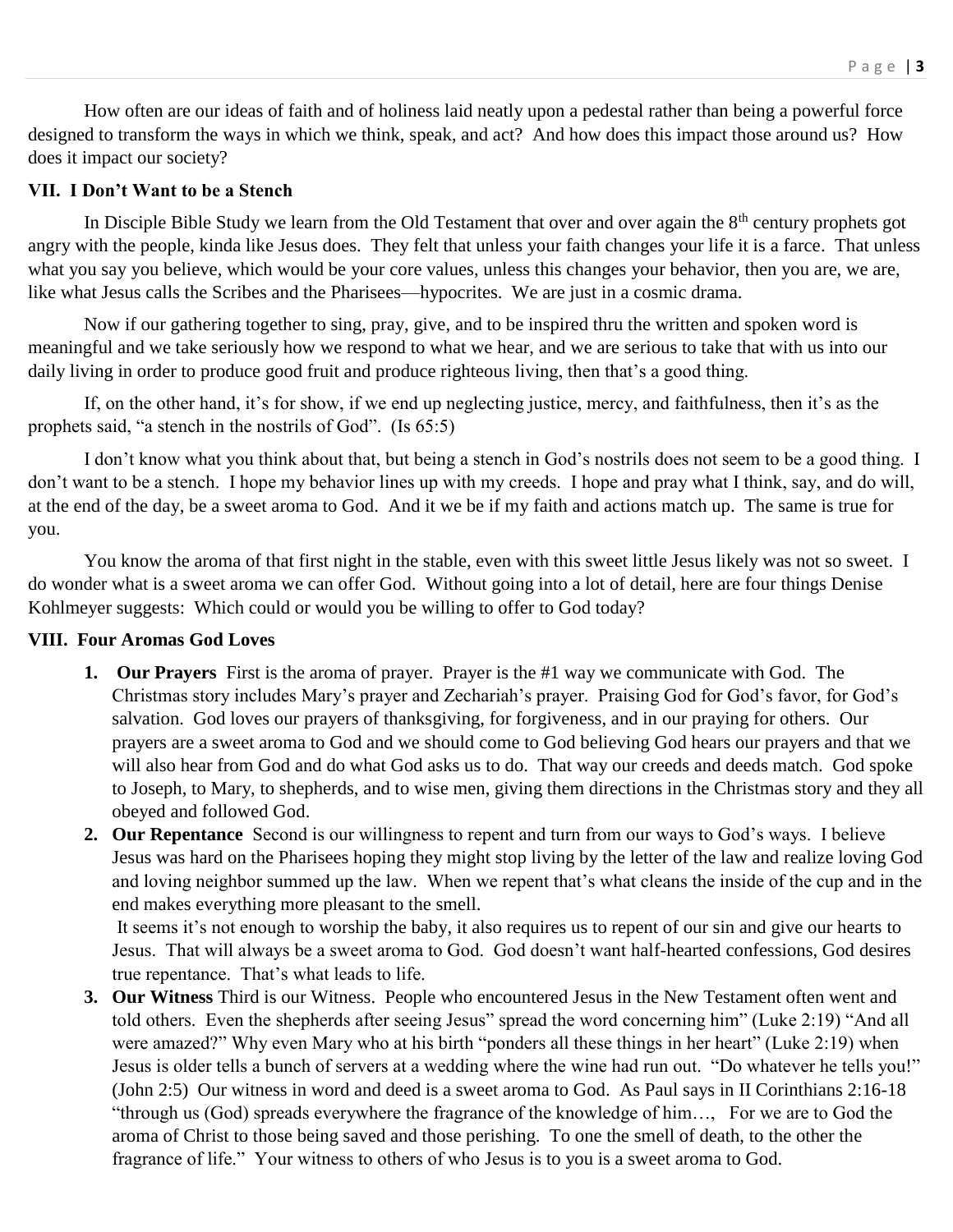How often are our ideas of faith and of holiness laid neatly upon a pedestal rather than being a powerful force designed to transform the ways in which we think, speak, and act? And how does this impact those around us? How does it impact our society?

## **VII. I Don't Want to be a Stench**

In Disciple Bible Study we learn from the Old Testament that over and over again the 8<sup>th</sup> century prophets got angry with the people, kinda like Jesus does. They felt that unless your faith changes your life it is a farce. That unless what you say you believe, which would be your core values, unless this changes your behavior, then you are, we are, like what Jesus calls the Scribes and the Pharisees—hypocrites. We are just in a cosmic drama.

Now if our gathering together to sing, pray, give, and to be inspired thru the written and spoken word is meaningful and we take seriously how we respond to what we hear, and we are serious to take that with us into our daily living in order to produce good fruit and produce righteous living, then that's a good thing.

If, on the other hand, it's for show, if we end up neglecting justice, mercy, and faithfulness, then it's as the prophets said, "a stench in the nostrils of God". (Is 65:5)

I don't know what you think about that, but being a stench in God's nostrils does not seem to be a good thing. I don't want to be a stench. I hope my behavior lines up with my creeds. I hope and pray what I think, say, and do will, at the end of the day, be a sweet aroma to God. And it we be if my faith and actions match up. The same is true for you.

You know the aroma of that first night in the stable, even with this sweet little Jesus likely was not so sweet. I do wonder what is a sweet aroma we can offer God. Without going into a lot of detail, here are four things Denise Kohlmeyer suggests: Which could or would you be willing to offer to God today?

## **VIII. Four Aromas God Loves**

- **1. Our Prayers** First is the aroma of prayer. Prayer is the #1 way we communicate with God. The Christmas story includes Mary's prayer and Zechariah's prayer. Praising God for God's favor, for God's salvation. God loves our prayers of thanksgiving, for forgiveness, and in our praying for others. Our prayers are a sweet aroma to God and we should come to God believing God hears our prayers and that we will also hear from God and do what God asks us to do. That way our creeds and deeds match. God spoke to Joseph, to Mary, to shepherds, and to wise men, giving them directions in the Christmas story and they all obeyed and followed God.
- **2. Our Repentance** Second is our willingness to repent and turn from our ways to God's ways. I believe Jesus was hard on the Pharisees hoping they might stop living by the letter of the law and realize loving God and loving neighbor summed up the law. When we repent that's what cleans the inside of the cup and in the end makes everything more pleasant to the smell.

It seems it's not enough to worship the baby, it also requires us to repent of our sin and give our hearts to Jesus. That will always be a sweet aroma to God. God doesn't want half-hearted confessions, God desires true repentance. That's what leads to life.

**3. Our Witness** Third is our Witness. People who encountered Jesus in the New Testament often went and told others. Even the shepherds after seeing Jesus" spread the word concerning him" (Luke 2:19) "And all were amazed?" Why even Mary who at his birth "ponders all these things in her heart" (Luke 2:19) when Jesus is older tells a bunch of servers at a wedding where the wine had run out. "Do whatever he tells you!" (John 2:5) Our witness in word and deed is a sweet aroma to God. As Paul says in II Corinthians 2:16-18 "through us (God) spreads everywhere the fragrance of the knowledge of him…, For we are to God the aroma of Christ to those being saved and those perishing. To one the smell of death, to the other the fragrance of life." Your witness to others of who Jesus is to you is a sweet aroma to God.